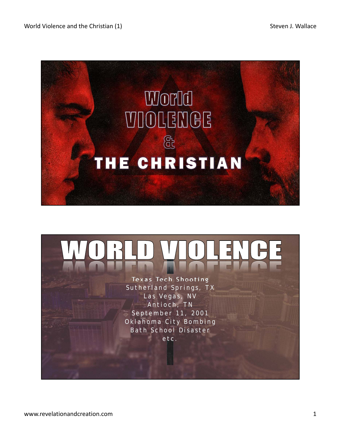

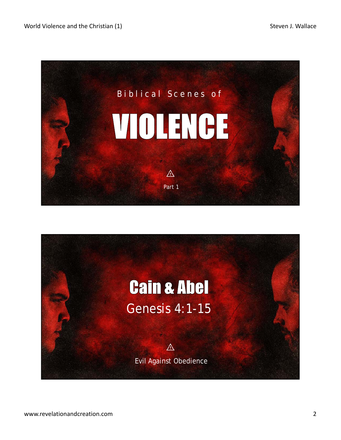

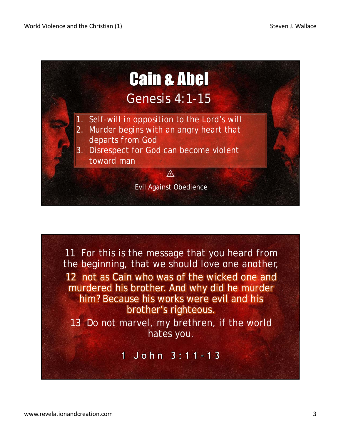

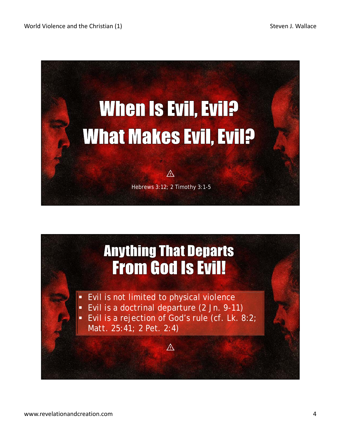

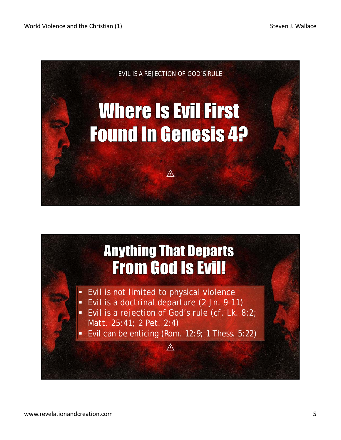

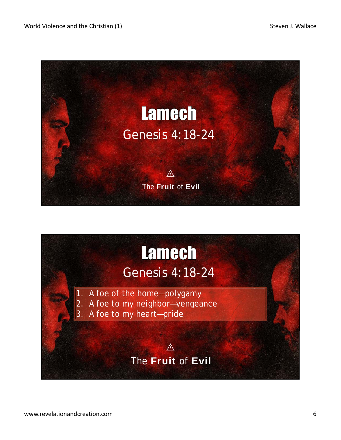